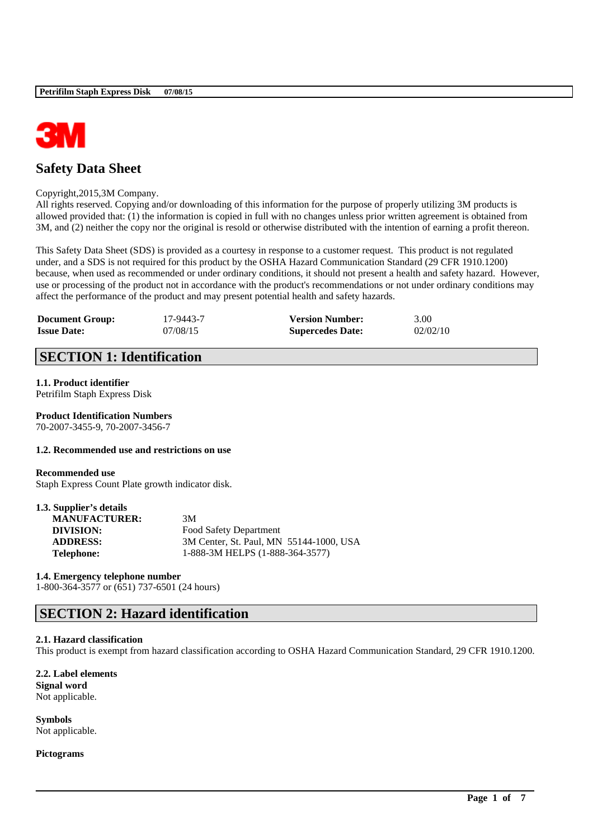

# **Safety Data Sheet**

### Copyright,2015,3M Company.

All rights reserved. Copying and/or downloading of this information for the purpose of properly utilizing 3M products is allowed provided that: (1) the information is copied in full with no changes unless prior written agreement is obtained from 3M, and (2) neither the copy nor the original is resold or otherwise distributed with the intention of earning a profit thereon.

This Safety Data Sheet (SDS) is provided as a courtesy in response to a customer request. This product is not regulated under, and a SDS is not required for this product by the OSHA Hazard Communication Standard (29 CFR 1910.1200) because, when used as recommended or under ordinary conditions, it should not present a health and safety hazard. However, use or processing of the product not in accordance with the product's recommendations or not under ordinary conditions may affect the performance of the product and may present potential health and safety hazards.

| <b>Document Group:</b> | 17-9443-7 | <b>Version Number:</b>  | 3.00     |
|------------------------|-----------|-------------------------|----------|
| <b>Issue Date:</b>     | 07/08/15  | <b>Supercedes Date:</b> | 02/02/10 |

# **SECTION 1: Identification**

# **1.1. Product identifier**

Petrifilm Staph Express Disk

**Product Identification Numbers** 70-2007-3455-9, 70-2007-3456-7

## **1.2. Recommended use and restrictions on use**

## **Recommended use**

Staph Express Count Plate growth indicator disk.

| 1.3. Supplier's details |                                         |
|-------------------------|-----------------------------------------|
| <b>MANUFACTURER:</b>    | 3M                                      |
| DIVISION:               | Food Safety Department                  |
| <b>ADDRESS:</b>         | 3M Center, St. Paul, MN 55144-1000, USA |
| <b>Telephone:</b>       | 1-888-3M HELPS (1-888-364-3577)         |

## **1.4. Emergency telephone number**

1-800-364-3577 or (651) 737-6501 (24 hours)

## **SECTION 2: Hazard identification**

## **2.1. Hazard classification**

This product is exempt from hazard classification according to OSHA Hazard Communication Standard, 29 CFR 1910.1200.

\_\_\_\_\_\_\_\_\_\_\_\_\_\_\_\_\_\_\_\_\_\_\_\_\_\_\_\_\_\_\_\_\_\_\_\_\_\_\_\_\_\_\_\_\_\_\_\_\_\_\_\_\_\_\_\_\_\_\_\_\_\_\_\_\_\_\_\_\_\_\_\_\_\_\_\_\_\_\_\_\_\_\_\_\_\_\_\_\_\_

**2.2. Label elements Signal word** Not applicable.

**Symbols** Not applicable.

**Pictograms**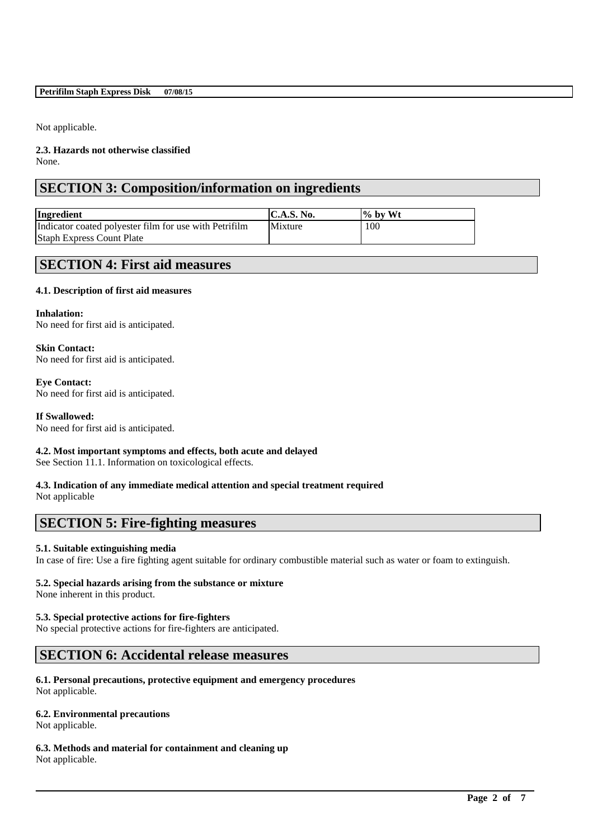## **Petrifilm Staph Express Disk 07/08/15**

Not applicable.

**2.3. Hazards not otherwise classified** None.

# **SECTION 3: Composition/information on ingredients**

| Ingredient                                             | $\mathbf{C.A.S.}$ No. | $\frac{1}{2}$ by Wt |
|--------------------------------------------------------|-----------------------|---------------------|
| Indicator coated polyester film for use with Petrifilm | Mixture               | 100                 |
| <b>Staph Express Count Plate</b>                       |                       |                     |

## **SECTION 4: First aid measures**

## **4.1. Description of first aid measures**

#### **Inhalation:**

No need for first aid is anticipated.

## **Skin Contact:**

No need for first aid is anticipated.

## **Eye Contact:**

No need for first aid is anticipated.

## **If Swallowed:**

No need for first aid is anticipated.

## **4.2. Most important symptoms and effects, both acute and delayed**

See Section 11.1. Information on toxicological effects.

## **4.3. Indication of any immediate medical attention and special treatment required**

Not applicable

## **SECTION 5: Fire-fighting measures**

## **5.1. Suitable extinguishing media**

In case of fire: Use a fire fighting agent suitable for ordinary combustible material such as water or foam to extinguish.

\_\_\_\_\_\_\_\_\_\_\_\_\_\_\_\_\_\_\_\_\_\_\_\_\_\_\_\_\_\_\_\_\_\_\_\_\_\_\_\_\_\_\_\_\_\_\_\_\_\_\_\_\_\_\_\_\_\_\_\_\_\_\_\_\_\_\_\_\_\_\_\_\_\_\_\_\_\_\_\_\_\_\_\_\_\_\_\_\_\_

## **5.2. Special hazards arising from the substance or mixture**

None inherent in this product.

## **5.3. Special protective actions for fire-fighters**

No special protective actions for fire-fighters are anticipated.

## **SECTION 6: Accidental release measures**

## **6.1. Personal precautions, protective equipment and emergency procedures**

Not applicable.

## **6.2. Environmental precautions**

Not applicable.

## **6.3. Methods and material for containment and cleaning up**

Not applicable.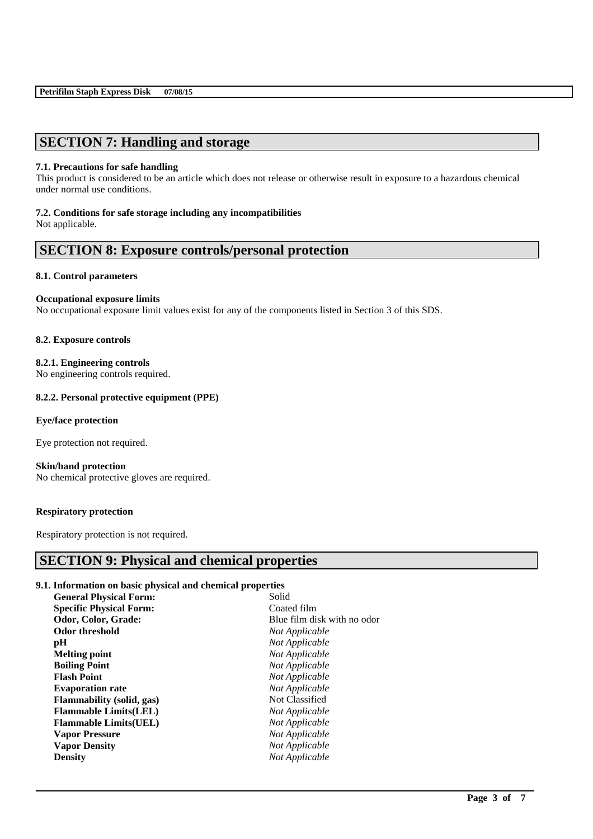# **SECTION 7: Handling and storage**

#### **7.1. Precautions for safe handling**

This product is considered to be an article which does not release or otherwise result in exposure to a hazardous chemical under normal use conditions.

### **7.2. Conditions for safe storage including any incompatibilities**

Not applicable.

## **SECTION 8: Exposure controls/personal protection**

#### **8.1. Control parameters**

### **Occupational exposure limits**

No occupational exposure limit values exist for any of the components listed in Section 3 of this SDS.

#### **8.2. Exposure controls**

**8.2.1. Engineering controls**

No engineering controls required.

## **8.2.2. Personal protective equipment (PPE)**

#### **Eye/face protection**

Eye protection not required.

**Skin/hand protection** No chemical protective gloves are required.

## **Respiratory protection**

Respiratory protection is not required.

## **SECTION 9: Physical and chemical properties**

## **9.1. Information on basic physical and chemical properties**

| Solid                       |
|-----------------------------|
| Coated film                 |
| Blue film disk with no odor |
| Not Applicable              |
| Not Applicable              |
| Not Applicable              |
| Not Applicable              |
| Not Applicable              |
| Not Applicable              |
| Not Classified              |
| Not Applicable              |
| Not Applicable              |
| Not Applicable              |
| Not Applicable              |
| Not Applicable              |
|                             |

\_\_\_\_\_\_\_\_\_\_\_\_\_\_\_\_\_\_\_\_\_\_\_\_\_\_\_\_\_\_\_\_\_\_\_\_\_\_\_\_\_\_\_\_\_\_\_\_\_\_\_\_\_\_\_\_\_\_\_\_\_\_\_\_\_\_\_\_\_\_\_\_\_\_\_\_\_\_\_\_\_\_\_\_\_\_\_\_\_\_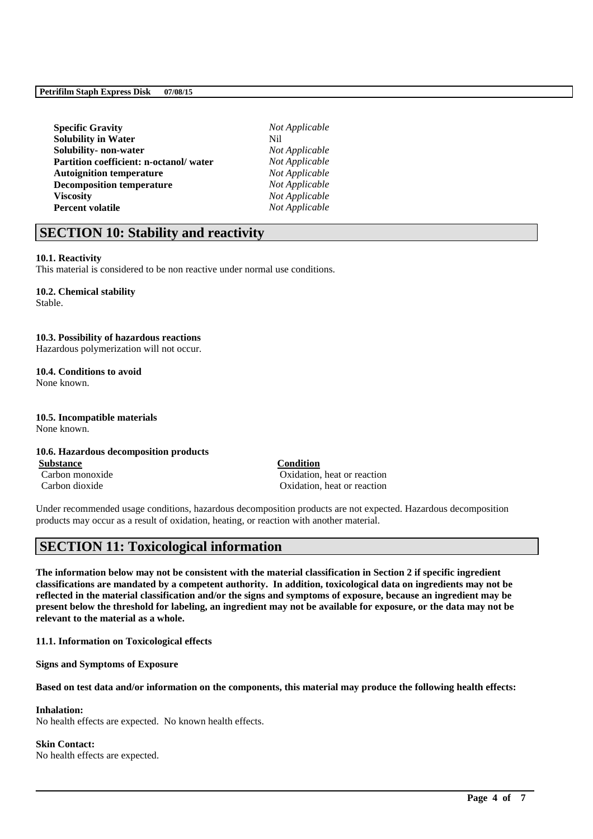| <b>Specific Gravity</b>                | No  |
|----------------------------------------|-----|
| <b>Solubility in Water</b>             | Nil |
| Solubility- non-water                  | No  |
| Partition coefficient: n-octanol/water | No  |
| <b>Autoignition temperature</b>        | No  |
| <b>Decomposition temperature</b>       | No  |
| <b>Viscosity</b>                       | No  |
| <b>Percent volatile</b>                | No  |

**Specific Gravity** *Not Applicable*  $Not Appliedble$  $Not Appliedble$ *Not Applicable*  $Not Appliedble$ **Viscosity** *Not Applicable* **Not Applicable** 

## **SECTION 10: Stability and reactivity**

#### **10.1. Reactivity**

This material is considered to be non reactive under normal use conditions.

## **10.2. Chemical stability**

Stable.

## **10.3. Possibility of hazardous reactions**

Hazardous polymerization will not occur.

## **10.4. Conditions to avoid**

None known.

# **10.5. Incompatible materials**

None known.

#### **10.6. Hazardous decomposition products**

**Substance Condition**

Carbon monoxide Oxidation, heat or reaction Carbon dioxide Oxidation, heat or reaction

Under recommended usage conditions, hazardous decomposition products are not expected. Hazardous decomposition products may occur as a result of oxidation, heating, or reaction with another material.

## **SECTION 11: Toxicological information**

**The information below may not be consistent with the material classification in Section 2 if specific ingredient classifications are mandated by a competent authority. In addition, toxicological data on ingredients may not be reflected in the material classification and/or the signs and symptoms of exposure, because an ingredient may be present below the threshold for labeling, an ingredient may not be available for exposure, or the data may not be relevant to the material as a whole.**

**11.1. Information on Toxicological effects**

**Signs and Symptoms of Exposure**

**Based on test data and/or information on the components, this material may produce the following health effects:**

\_\_\_\_\_\_\_\_\_\_\_\_\_\_\_\_\_\_\_\_\_\_\_\_\_\_\_\_\_\_\_\_\_\_\_\_\_\_\_\_\_\_\_\_\_\_\_\_\_\_\_\_\_\_\_\_\_\_\_\_\_\_\_\_\_\_\_\_\_\_\_\_\_\_\_\_\_\_\_\_\_\_\_\_\_\_\_\_\_\_

#### **Inhalation:**

No health effects are expected. No known health effects.

#### **Skin Contact:**

No health effects are expected.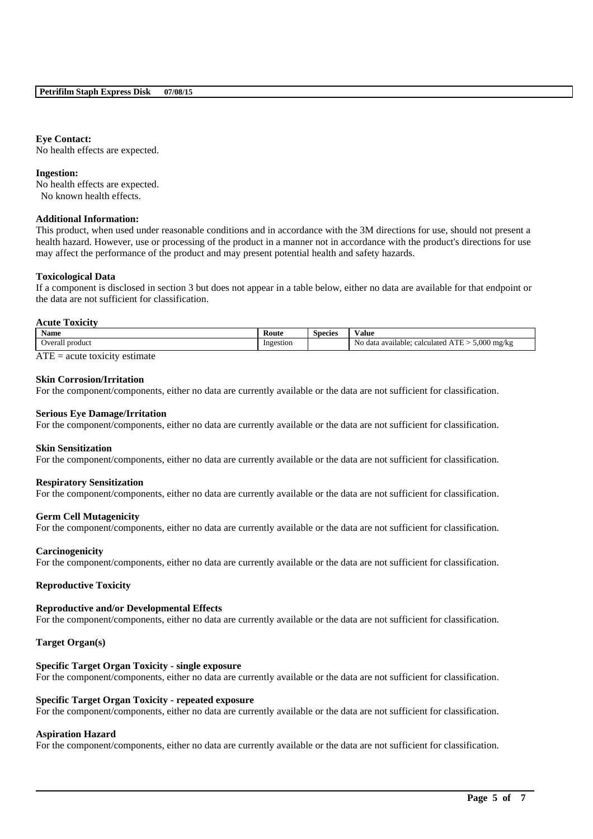## **Eye Contact:**

No health effects are expected.

#### **Ingestion:**

No health effects are expected. No known health effects.

### **Additional Information:**

This product, when used under reasonable conditions and in accordance with the 3M directions for use, should not present a health hazard. However, use or processing of the product in a manner not in accordance with the product's directions for use may affect the performance of the product and may present potential health and safety hazards.

#### **Toxicological Data**

If a component is disclosed in section 3 but does not appear in a table below, either no data are available for that endpoint or the data are not sufficient for classification.

#### **Acute Toxicity**

| <b>Name</b>     | Route     | <b>Species</b> | ⁄ alue                                                                                                                  |
|-----------------|-----------|----------------|-------------------------------------------------------------------------------------------------------------------------|
| Overall product | Ingestion |                | $5.000$ mg/kg<br>$-$<br>No data<br>calculated <sup>.</sup><br>ı available:<br>$\triangle$ 1 $\triangle$ $>$ $\triangle$ |

 $\overline{ATE}$  = acute toxicity estimate

#### **Skin Corrosion/Irritation**

For the component/components, either no data are currently available or the data are not sufficient for classification.

#### **Serious Eye Damage/Irritation**

For the component/components, either no data are currently available or the data are not sufficient for classification.

#### **Skin Sensitization**

For the component/components, either no data are currently available or the data are not sufficient for classification.

#### **Respiratory Sensitization**

For the component/components, either no data are currently available or the data are not sufficient for classification.

#### **Germ Cell Mutagenicity**

For the component/components, either no data are currently available or the data are not sufficient for classification.

#### **Carcinogenicity**

For the component/components, either no data are currently available or the data are not sufficient for classification.

#### **Reproductive Toxicity**

#### **Reproductive and/or Developmental Effects**

For the component/components, either no data are currently available or the data are not sufficient for classification.

#### **Target Organ(s)**

#### **Specific Target Organ Toxicity - single exposure**

For the component/components, either no data are currently available or the data are not sufficient for classification.

#### **Specific Target Organ Toxicity - repeated exposure**

For the component/components, either no data are currently available or the data are not sufficient for classification.

#### **Aspiration Hazard**

For the component/components, either no data are currently available or the data are not sufficient for classification.

\_\_\_\_\_\_\_\_\_\_\_\_\_\_\_\_\_\_\_\_\_\_\_\_\_\_\_\_\_\_\_\_\_\_\_\_\_\_\_\_\_\_\_\_\_\_\_\_\_\_\_\_\_\_\_\_\_\_\_\_\_\_\_\_\_\_\_\_\_\_\_\_\_\_\_\_\_\_\_\_\_\_\_\_\_\_\_\_\_\_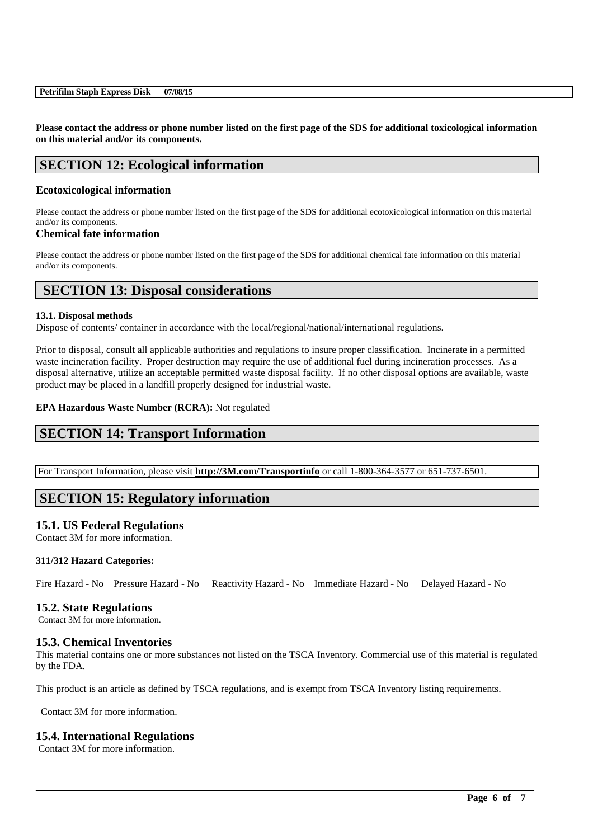**Please contact the address or phone number listed on the first page of the SDS for additional toxicological information on this material and/or its components.**

# **SECTION 12: Ecological information**

## **Ecotoxicological information**

Please contact the address or phone number listed on the first page of the SDS for additional ecotoxicological information on this material and/or its components.

## **Chemical fate information**

Please contact the address or phone number listed on the first page of the SDS for additional chemical fate information on this material and/or its components.

# **SECTION 13: Disposal considerations**

## **13.1. Disposal methods**

Dispose of contents/ container in accordance with the local/regional/national/international regulations.

Prior to disposal, consult all applicable authorities and regulations to insure proper classification. Incinerate in a permitted waste incineration facility. Proper destruction may require the use of additional fuel during incineration processes. As a disposal alternative, utilize an acceptable permitted waste disposal facility. If no other disposal options are available, waste product may be placed in a landfill properly designed for industrial waste.

## **EPA Hazardous Waste Number (RCRA):** Not regulated

## **SECTION 14: Transport Information**

For Transport Information, please visit **http://3M.com/Transportinfo** or call 1-800-364-3577 or 651-737-6501.

## **SECTION 15: Regulatory information**

## **15.1. US Federal Regulations**

Contact 3M for more information.

## **311/312 Hazard Categories:**

Fire Hazard - No Pressure Hazard - No Reactivity Hazard - No Immediate Hazard - No Delayed Hazard - No

## **15.2. State Regulations**

Contact 3M for more information.

## **15.3. Chemical Inventories**

This material contains one or more substances not listed on the TSCA Inventory. Commercial use of this material is regulated by the FDA.

\_\_\_\_\_\_\_\_\_\_\_\_\_\_\_\_\_\_\_\_\_\_\_\_\_\_\_\_\_\_\_\_\_\_\_\_\_\_\_\_\_\_\_\_\_\_\_\_\_\_\_\_\_\_\_\_\_\_\_\_\_\_\_\_\_\_\_\_\_\_\_\_\_\_\_\_\_\_\_\_\_\_\_\_\_\_\_\_\_\_

This product is an article as defined by TSCA regulations, and is exempt from TSCA Inventory listing requirements.

Contact 3M for more information.

## **15.4. International Regulations**

Contact 3M for more information.